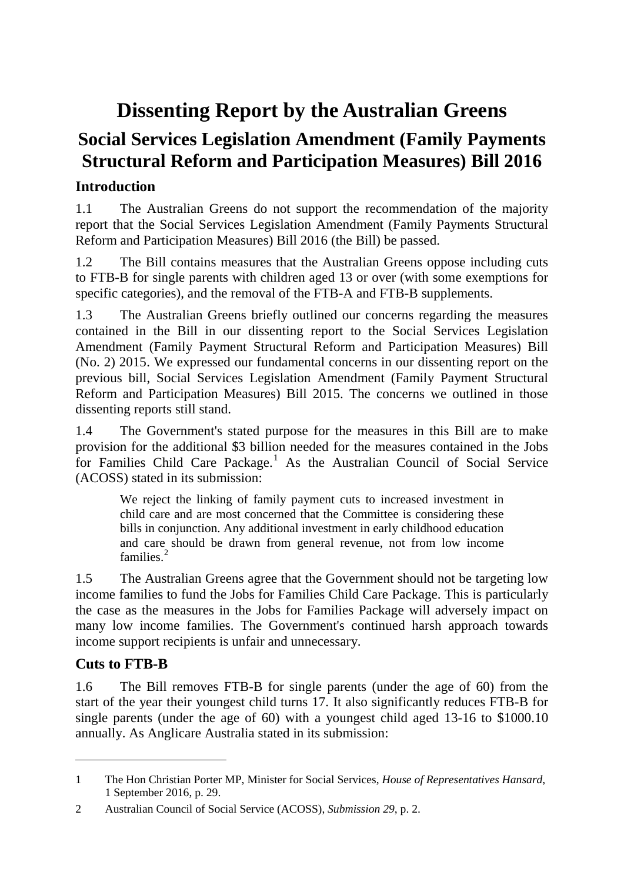# **Dissenting Report by the Australian Greens**

# **Social Services Legislation Amendment (Family Payments Structural Reform and Participation Measures) Bill 2016**

## **Introduction**

1.1 The Australian Greens do not support the recommendation of the majority report that the Social Services Legislation Amendment (Family Payments Structural Reform and Participation Measures) Bill 2016 (the Bill) be passed.

1.2 The Bill contains measures that the Australian Greens oppose including cuts to FTB-B for single parents with children aged 13 or over (with some exemptions for specific categories), and the removal of the FTB-A and FTB-B supplements.

1.3 The Australian Greens briefly outlined our concerns regarding the measures contained in the Bill in our dissenting report to the Social Services Legislation Amendment (Family Payment Structural Reform and Participation Measures) Bill (No. 2) 2015. We expressed our fundamental concerns in our dissenting report on the previous bill, Social Services Legislation Amendment (Family Payment Structural Reform and Participation Measures) Bill 2015. The concerns we outlined in those dissenting reports still stand.

1.4 The Government's stated purpose for the measures in this Bill are to make provision for the additional \$3 billion needed for the measures contained in the Jobs for Families Child Care Package.<sup>[1](#page-0-0)</sup> As the Australian Council of Social Service (ACOSS) stated in its submission:

We reject the linking of family payment cuts to increased investment in child care and are most concerned that the Committee is considering these bills in conjunction. Any additional investment in early childhood education and care should be drawn from general revenue, not from low income families.<sup>[2](#page-0-1)</sup>

1.5 The Australian Greens agree that the Government should not be targeting low income families to fund the Jobs for Families Child Care Package. This is particularly the case as the measures in the Jobs for Families Package will adversely impact on many low income families. The Government's continued harsh approach towards income support recipients is unfair and unnecessary.

## **Cuts to FTB-B**

-

1.6 The Bill removes FTB-B for single parents (under the age of 60) from the start of the year their youngest child turns 17. It also significantly reduces FTB-B for single parents (under the age of 60) with a youngest child aged 13-16 to \$1000.10 annually. As Anglicare Australia stated in its submission:

<span id="page-0-0"></span><sup>1</sup> The Hon Christian Porter MP, Minister for Social Services, *House of Representatives Hansard*, 1 September 2016, p. 29.

<span id="page-0-1"></span><sup>2</sup> Australian Council of Social Service (ACOSS), *Submission 29*, p. 2.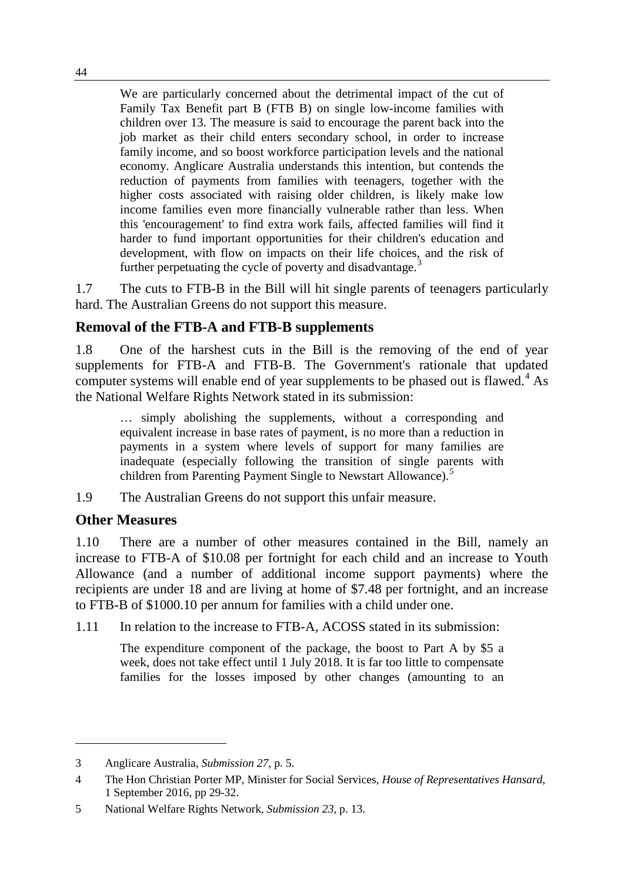We are particularly concerned about the detrimental impact of the cut of Family Tax Benefit part B (FTB B) on single low-income families with children over 13. The measure is said to encourage the parent back into the job market as their child enters secondary school, in order to increase family income, and so boost workforce participation levels and the national economy. Anglicare Australia understands this intention, but contends the reduction of payments from families with teenagers, together with the higher costs associated with raising older children, is likely make low income families even more financially vulnerable rather than less. When this 'encouragement' to find extra work fails, affected families will find it harder to fund important opportunities for their children's education and development, with flow on impacts on their life choices, and the risk of further perpetuating the cycle of poverty and disadvantage.<sup>[3](#page-1-0)</sup>

1.7 The cuts to FTB-B in the Bill will hit single parents of teenagers particularly hard. The Australian Greens do not support this measure.

### **Removal of the FTB-A and FTB-B supplements**

1.8 One of the harshest cuts in the Bill is the removing of the end of year supplements for FTB-A and FTB-B. The Government's rationale that updated computer systems will enable end of year supplements to be phased out is flawed.<sup>[4](#page-1-1)</sup> As the National Welfare Rights Network stated in its submission:

… simply abolishing the supplements, without a corresponding and equivalent increase in base rates of payment, is no more than a reduction in payments in a system where levels of support for many families are inadequate (especially following the transition of single parents with children from Parenting Payment Single to Newstart Allowance).<sup>[5](#page-1-2)</sup>

1.9 The Australian Greens do not support this unfair measure.

### **Other Measures**

-

1.10 There are a number of other measures contained in the Bill, namely an increase to FTB-A of \$10.08 per fortnight for each child and an increase to Youth Allowance (and a number of additional income support payments) where the recipients are under 18 and are living at home of \$7.48 per fortnight, and an increase to FTB-B of \$1000.10 per annum for families with a child under one.

1.11 In relation to the increase to FTB-A, ACOSS stated in its submission:

The expenditure component of the package, the boost to Part A by \$5 a week, does not take effect until 1 July 2018. It is far too little to compensate families for the losses imposed by other changes (amounting to an

<span id="page-1-0"></span><sup>3</sup> Anglicare Australia, *Submission 27*, p. 5.

<span id="page-1-1"></span><sup>4</sup> The Hon Christian Porter MP, Minister for Social Services, *House of Representatives Hansard*, 1 September 2016, pp 29-32.

<span id="page-1-2"></span><sup>5</sup> National Welfare Rights Network, *Submission 23*, p. 13.